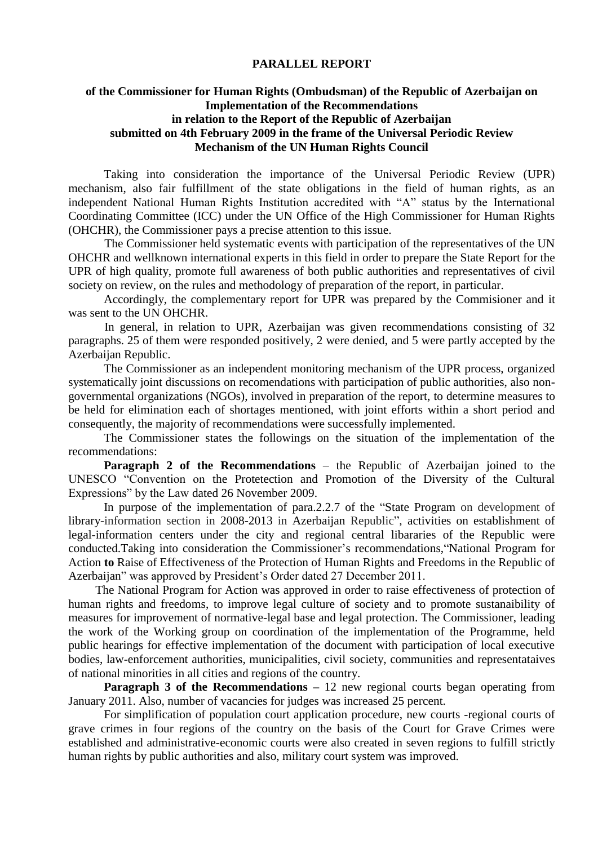## **PARALLEL REPORT**

## **of the Commissioner for Human Rights (Ombudsman) of the Republic of Azerbaijan on Implementation of the Recommendations in relation to the Report of the Republic of Azerbaijan submitted on 4th February 2009 in the frame of the Universal Periodic Review Mechanism of the UN Human Rights Council**

Taking into consideration the importance of the Universal Periodic Review (UPR) mechanism, also fair fulfillment of the state obligations in the field of human rights, as an independent National Human Rights Institution accredited with "A" status by the International Coordinating Committee (ICC) under the UN Office of the High Commissioner for Human Rights (OHCHR), the Commissioner pays a precise attention to this issue.

The Commissioner held systematic events with participation of the representatives of the UN OHCHR and wellknown international experts in this field in order to prepare the State Report for the UPR of high quality, promote full awareness of both public authorities and representatives of civil society on review, on the rules and methodology of preparation of the report, in particular.

Accordingly, the complementary report for UPR was prepared by the Commisioner and it was sent to the UN OHCHR.

In general, in relation to UPR, Azerbaijan was given recommendations consisting of 32 paragraphs. 25 of them were responded positively, 2 were denied, and 5 were partly accepted by the Azerbaijan Republic.

The Commissioner as an independent monitoring mechanism of the UPR process, organized systematically joint discussions on recomendations with participation of public authorities, also nongovernmental organizations (NGOs), involved in preparation of the report, to determine measures to be held for elimination each of shortages mentioned, with joint efforts within a short period and consequently, the majority of recommendations were successfully implemented.

The Commissioner states the followings on the situation of the implementation of the recommendations:

**Paragraph 2 of the Recommendations** – the Republic of Azerbaijan joined to the UNESCO "Convention on the Protetection and Promotion of the Diversity of the Cultural Expressions" by the Law dated 26 November 2009.

In purpose of the implementation of para.2.2.7 of the "State Program on development of library-information section in 2008-2013 in Azerbaijan Republic", activities on establishment of legal-information centers under the city and regional central libararies of the Republic were conducted.Taking into consideration the Commissioner's recommendations,"National Program for Action **to** Raise of Effectiveness of the Protection of Human Rights and Freedoms in the Republic of Azerbaijan" was approved by President's Order dated 27 December 2011.

The National Program for Action was approved in order to raise effectiveness of protection of human rights and freedoms, to improve legal culture of society and to promote sustanaibility of measures for improvement of normative-legal base and legal protection. The Commissioner, leading the work of the Working group on coordination of the implementation of the Programme, held public hearings for effective implementation of the document with participation of local executive bodies, law-enforcement authorities, municipalities, civil society, communities and representataives of national minorities in all cities and regions of the country.

**Paragraph 3 of the Recommendations – 12 new regional courts began operating from** January 2011. Also, number of vacancies for judges was increased 25 percent.

For simplification of population court application procedure, new courts -regional courts of grave crimes in four regions of the country on the basis of the Court for Grave Crimes were established and administrative-economic courts were also created in seven regions to fulfill strictly human rights by public authorities and also, military court system was improved.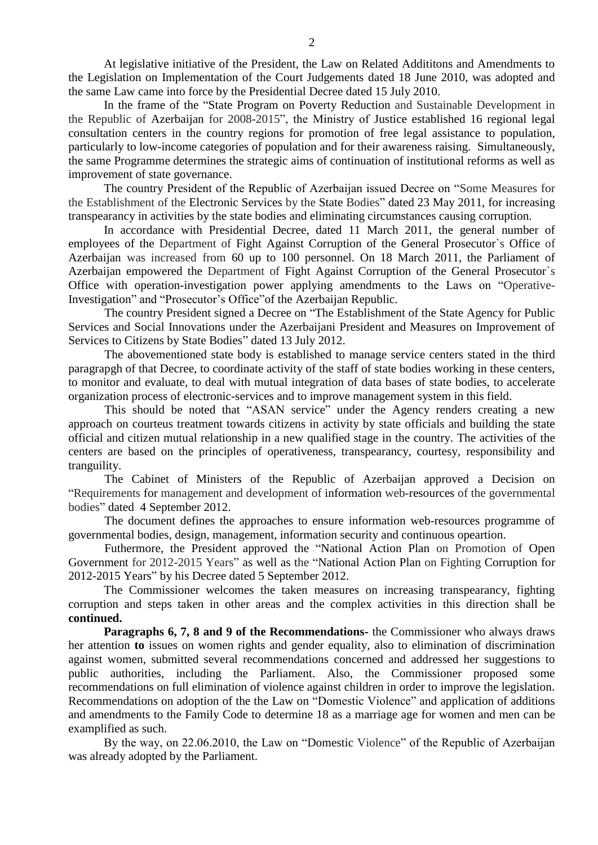At legislative initiative of the President, the Law on Related Addititons and Amendments to the Legislation on Implementation of the Court Judgements dated 18 June 2010, was adopted and the same Law came into force by the Presidential Decree dated 15 July 2010.

In the frame of the "State Program on Poverty Reduction and Sustainable Development in the Republic of Azerbaijan for 2008-2015", the Ministry of Justice established 16 regional legal consultation centers in the country regions for promotion of free legal assistance to population, particularly to low-income categories of population and for their awareness raising. Simultaneously, the same Programme determines the strategic aims of continuation of institutional reforms as well as improvement of state governance.

The country President of the Republic of Azerbaijan issued Decree on "Some Measures for the Establishment of the Electronic Services by the State Bodies" dated 23 May 2011, for increasing transpearancy in activities by the state bodies and eliminating circumstances causing corruption.

In accordance with Presidential Decree, dated 11 March 2011, the general number of employees of the Department of Fight Against Corruption of the General Prosecutor`s Office of Azerbaijan was increased from 60 up to 100 personnel. On 18 March 2011, the Parliament of Azerbaijan empowered the Department of Fight Against Corruption of the General Prosecutor`s Office with operation-investigation power applying amendments to the Laws on "Operative-Investigation" and "Prosecutor's Office"of the Azerbaijan Republic.

The country President signed a Decree on "The Establishment of the State Agency for Public Services and Social Innovations under the Azerbaijani President and Measures on Improvement of Services to Citizens by State Bodies" dated 13 July 2012.

The abovementioned state body is established to manage service centers stated in the third paragrapgh of that Decree, to coordinate activity of the staff of state bodies working in these centers, to monitor and evaluate, to deal with mutual integration of data bases of state bodies, to accelerate organization process of electronic-services and to improve management system in this field.

This should be noted that "ASAN service" under the Agency renders creating a new approach on courteus treatment towards citizens in activity by state officials and building the state official and citizen mutual relationship in a new qualified stage in the country. The activities of the centers are based on the principles of operativeness, transpearancy, courtesy, responsibility and tranguility.

The Cabinet of Ministers of the Republic of Azerbaijan approved a Decision on "Requirements for management and development of information web-resources of the governmental bodies" dated 4 September 2012.

The document defines the approaches to ensure information web-resources programme of governmental bodies, design, management, information security and continuous opeartion.

Futhermore, the President approved the "National Action Plan on Promotion of Open Government for 2012-2015 Years" as well as the "National Action Plan on Fighting Corruption for 2012-2015 Years" by his Decree dated 5 September 2012.

The Commissioner welcomes the taken measures on increasing transpearancy, fighting corruption and steps taken in other areas and the complex activities in this direction shall be **continued.**

**Paragraphs 6, 7, 8 and 9 of the Recommendations-** the Commissioner who always draws her attention **to** issues on women rights and gender equality, also to elimination of discrimination against women, submitted several recommendations concerned and addressed her suggestions to public authorities, including the Parliament. Also, the Commissioner proposed some recommendations on full elimination of violence against children in order to improve the legislation. Recommendations on adoption of the the Law on "Domestic Violence" and application of additions and amendments to the Family Code to determine 18 as a marriage age for women and men can be examplified as such.

By the way, on 22.06.2010, the Law on "Domestic Violence" of the Republic of Azerbaijan was already adopted by the Parliament.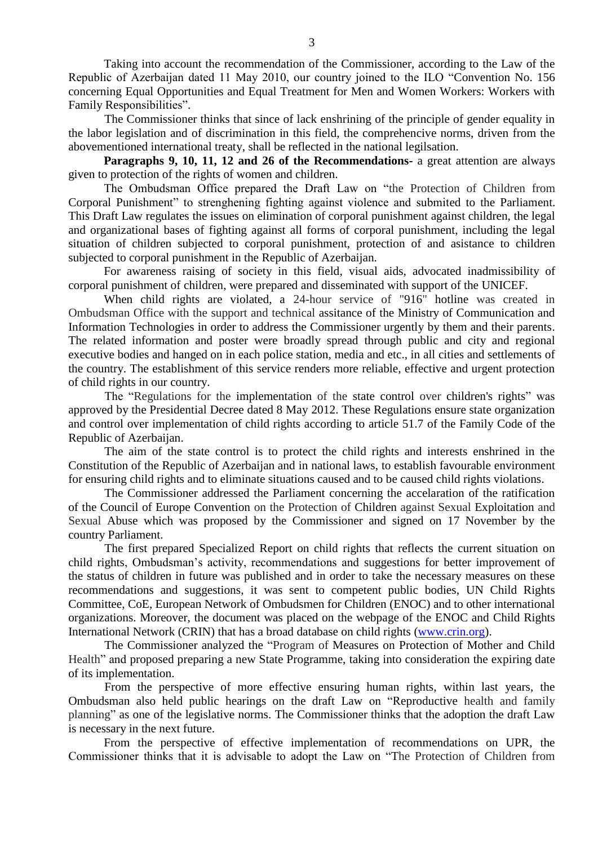Taking into account the recommendation of the Commissioner, according to the Law of the Republic of Azerbaijan dated 11 May 2010, our country joined to the ILO "Convention No. 156 concerning Equal Opportunities and Equal Treatment for Men and Women Workers: Workers with Family Responsibilities".

The Commissioner thinks that since of lack enshrining of the principle of gender equality in the labor legislation and of discrimination in this field, the comprehencive norms, driven from the abovementioned international treaty, shall be reflected in the national legilsation.

**Paragraphs 9, 10, 11, 12 and 26 of the Recommendations-** a great attention are always given to protection of the rights of women and children.

The Ombudsman Office prepared the Draft Law on "the Protection of Children from Corporal Punishment" to strenghening fighting against violence and submited to the Parliament. This Draft Law regulates the issues on elimination of corporal punishment against children, the legal and organizational bases of fighting against all forms of corporal punishment, including the legal situation of children subjected to corporal punishment, protection of and asistance to children subjected to corporal punishment in the Republic of Azerbaijan.

For awareness raising of society in this field, visual aids, advocated inadmissibility of corporal punishment of children, were prepared and disseminated with support of the UNICEF.

When child rights are violated, a 24-hour service of "916" hotline was created in Ombudsman Office with the support and technical assitance of the Ministry of Communication and Information Technologies in order to address the Commissioner urgently by them and their parents. The related information and poster were broadly spread through public and city and regional executive bodies and hanged on in each police station, media and etc., in all cities and settlements of the country. The establishment of this service renders more reliable, effective and urgent protection of child rights in our country.

The "Regulations for the implementation of the state control over children's rights" was approved by the Presidential Decree dated 8 May 2012. These Regulations ensure state organization and control over implementation of child rights according to article 51.7 of the Family Code of the Republic of Azerbaijan.

The aim of the state control is to protect the child rights and interests enshrined in the Constitution of the Republic of Azerbaijan and in national laws, to establish favourable environment for ensuring child rights and to eliminate situations caused and to be caused child rights violations.

The Commissioner addressed the Parliament concerning the accelaration of the ratification of the Council of Europe Convention on the Protection of Children against Sexual Exploitation and Sexual Abuse which was proposed by the Commissioner and signed on 17 November by the country Parliament.

The first prepared Specialized Report on child rights that reflects the current situation on child rights, Ombudsman's activity, recommendations and suggestions for better improvement of the status of children in future was published and in order to take the necessary measures on these recommendations and suggestions, it was sent to competent public bodies, UN Child Rights Committee, CoE, European Network of Ombudsmen for Children (ENOC) and to other international organizations. Moreover, the document was placed on the webpage of the ENOC and Child Rights International Network (CRIN) that has a broad database on child rights [\(www.crin.org\)](http://www.crin.org/).

The Commissioner analyzed the "Program of Measures on Protection of Mother and Child Health" and proposed preparing a new State Programme, taking into consideration the expiring date of its implementation.

From the perspective of more effective ensuring human rights, within last years, the Ombudsman also held public hearings on the draft Law on "Reproductive health and family planning" as one of the legislative norms. The Commissioner thinks that the adoption the draft Law is necessary in the next future.

From the perspective of effective implementation of recommendations on UPR, the Commissioner thinks that it is advisable to adopt the Law on "The Protection of Children from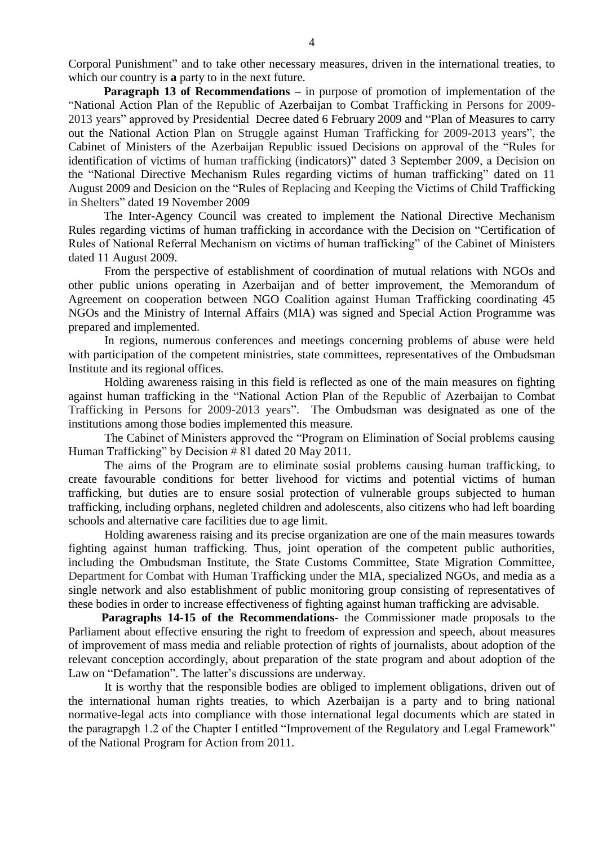Corporal Punishment" and to take other necessary measures, driven in the international treaties, to which our country is **a** party to in the next future.

**Paragraph 13 of Recommendations** – in purpose of promotion of implementation of the "National Action Plan of the Republic of Azerbaijan to Combat Trafficking in Persons for 2009- 2013 years" approved by Presidential Decree dated 6 February 2009 and "Plan of Measures to carry out the National Action Plan on Struggle against Human Trafficking for 2009-2013 years", the Cabinet of Ministers of the Azerbaijan Republic issued Decisions on approval of the "Rules for identification of victims of human trafficking (indicators)" dated 3 September 2009, a Decision on the "National Directive Mechanism Rules regarding victims of human trafficking" dated on 11 August 2009 and Desicion on the "Rules of Replacing and Keeping the Victims of Child Trafficking in Shelters" dated 19 November 2009

The Inter-Agency Council was created to implement the National Directive Mechanism Rules regarding victims of human trafficking in accordance with the Decision on "Certification of Rules of National Referral Mechanism on victims of human trafficking" of the Cabinet of Ministers dated 11 August 2009.

From the perspective of establishment of coordination of mutual relations with NGOs and other public unions operating in Azerbaijan and of better improvement, the Memorandum of Agreement on cooperation between NGO Coalition against Human Trafficking coordinating 45 NGOs and the Ministry of Internal Affairs (MIA) was signed and Special Action Programme was prepared and implemented.

In regions, numerous conferences and meetings concerning problems of abuse were held with participation of the competent ministries, state committees, representatives of the Ombudsman Institute and its regional offices.

Holding awareness raising in this field is reflected as one of the main measures on fighting against human trafficking in the "National Action Plan of the Republic of Azerbaijan to Combat Trafficking in Persons for 2009-2013 years". The Ombudsman was designated as one of the institutions among those bodies implemented this measure.

The Cabinet of Ministers approved the "Program on Elimination of Social problems causing Human Trafficking" by Decision # 81 dated 20 May 2011.

The aims of the Program are to eliminate sosial problems causing human trafficking, to create favourable conditions for better livehood for victims and potential victims of human trafficking, but duties are to ensure sosial protection of vulnerable groups subjected to human trafficking, including orphans, negleted children and adolescents, also citizens who had left boarding schools and alternative care facilities due to age limit.

Holding awareness raising and its precise organization are one of the main measures towards fighting against human trafficking. Thus, joint operation of the competent public authorities, including the Ombudsman Institute, the State Customs Committee, State Migration Committee, Department for Combat with Human Trafficking under the MIA, specialized NGOs, and media as a single network and also establishment of public monitoring group consisting of representatives of these bodies in order to increase effectiveness of fighting against human trafficking are advisable.

 **Paragraphs 14-15 of the Recommendations-** the Commissioner made proposals to the Parliament about effective ensuring the right to freedom of expression and speech, about measures of improvement of mass media and reliable protection of rights of journalists, about adoption of the relevant conception accordingly, about preparation of the state program and about adoption of the Law on "Defamation". The latter's discussions are underway.

It is worthy that the responsible bodies are obliged to implement obligations, driven out of the international human rights treaties, to which Azerbaijan is a party and to bring national normative-legal acts into compliance with those international legal documents which are stated in the paragrapgh 1.2 of the Chapter I entitled "Improvement of the Regulatory and Legal Framework" of the National Program for Action from 2011.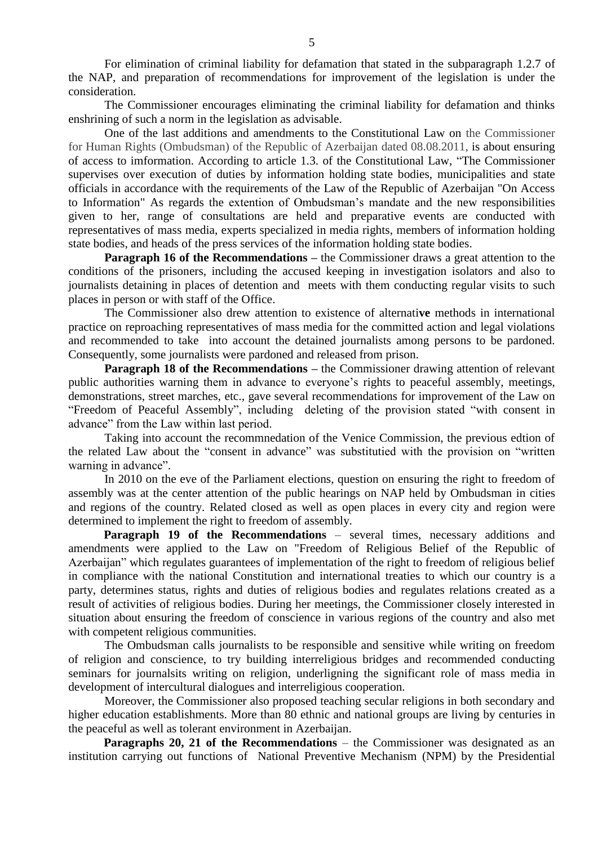For elimination of criminal liability for defamation that stated in the subparagraph 1.2.7 of the NAP, and preparation of recommendations for improvement of the legislation is under the consideration.

The Commissioner encourages eliminating the criminal liability for defamation and thinks enshrining of such a norm in the legislation as advisable.

One of the last additions and amendments to the Constitutional Law on the Commissioner for Human Rights (Ombudsman) of the Republic of Azerbaijan dated 08.08.2011, is about ensuring of access to imformation. According to article 1.3. of the Constitutional Law, "The Commissioner supervises over execution of duties by information holding state bodies, municipalities and state officials in accordance with the requirements of the Law of the Republic of Azerbaijan "On Access to Information" As regards the extention of Ombudsman's mandate and the new responsibilities given to her, range of consultations are held and preparative events are conducted with representatives of mass media, experts specialized in media rights, members of information holding state bodies, and heads of the press services of the information holding state bodies.

**Paragraph 16 of the Recommendations** – the Commissioner draws a great attention to the conditions of the prisoners, including the accused keeping in investigation isolators and also to journalists detaining in places of detention and meets with them conducting regular visits to such places in person or with staff of the Office.

The Commissioner also drew attention to existence of alternati**ve** methods in international practice on reproaching representatives of mass media for the committed action and legal violations and recommended to take into account the detained journalists among persons to be pardoned. Consequently, some journalists were pardoned and released from prison.

**Paragraph 18 of the Recommendations** – the Commissioner drawing attention of relevant public authorities warning them in advance to everyone's rights to peaceful assembly, meetings, demonstrations, street marches, etc., gave several recommendations for improvement of the Law on "Freedom of Peaceful Assembly", including deleting of the provision stated "with consent in advance" from the Law within last period.

Taking into account the recommnedation of the Venice Commission, the previous edtion of the related Law about the "consent in advance" was substitutied with the provision on "written warning in advance".

In 2010 on the eve of the Parliament elections, question on ensuring the right to freedom of assembly was at the center attention of the public hearings on NAP held by Ombudsman in cities and regions of the country. Related closed as well as open places in every city and region were determined to implement the right to freedom of assembly.

**Paragraph 19 of the Recommendations** – several times, necessary additions and amendments were applied to the Law on "Freedom of Religious Belief of the Republic of Azerbaijan" which regulates guarantees of implementation of the right to freedom of religious belief in compliance with the national Constitution and international treaties to which our country is a party, determines status, rights and duties of religious bodies and regulates relations created as a result of activities of religious bodies. During her meetings, the Commissioner closely interested in situation about ensuring the freedom of conscience in various regions of the country and also met with competent religious communities.

The Ombudsman calls journalists to be responsible and sensitive while writing on freedom of religion and conscience, to try building interreligious bridges and recommended conducting seminars for journalsits writing on religion, underligning the significant role of mass media in development of intercultural dialogues and interreligious cooperation.

Moreover, the Commissioner also proposed teaching secular religions in both secondary and higher education establishments. More than 80 ethnic and national groups are living by centuries in the peaceful as well as tolerant environment in Azerbaijan.

**Paragraphs 20, 21 of the Recommendations** – the Commissioner was designated as an institution carrying out functions of National Preventive Mechanism (NPM) by the Presidential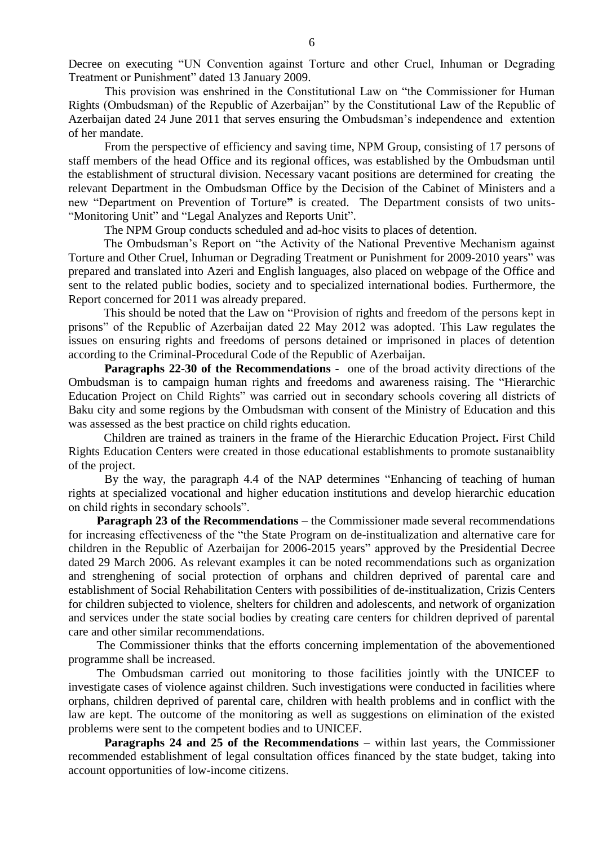Decree on executing "UN Convention against Torture and other Cruel, Inhuman or Degrading Treatment or Punishment" dated 13 January 2009.

This provision was enshrined in the Constitutional Law on "the Commissioner for Human Rights (Ombudsman) of the Republic of Azerbaijan" by the Constitutional Law of the Republic of Azerbaijan dated 24 June 2011 that serves ensuring the Ombudsman's independence and extention of her mandate.

From the perspective of efficiency and saving time, NPM Group, consisting of 17 persons of staff members of the head Office and its regional offices, was established by the Ombudsman until the establishment of structural division. Necessary vacant positions are determined for creating the relevant Department in the Ombudsman Office by the Decision of the Cabinet of Ministers and a new "Department on Prevention of Torture**"** is created. The Department consists of two units- "Monitoring Unit" and "Legal Analyzes and Reports Unit".

The NPM Group conducts scheduled and ad-hoc visits to places of detention.

The Ombudsman's Report on "the Activity of the National Preventive Mechanism against Torture and Other Cruel, Inhuman or Degrading Treatment or Punishment for 2009-2010 years" was prepared and translated into Azeri and English languages, also placed on webpage of the Office and sent to the related public bodies, society and to specialized international bodies. Furthermore, the Report concerned for 2011 was already prepared.

This should be noted that the Law on "Provision of rights and freedom of the persons kept in prisons" of the Republic of Azerbaijan dated 22 May 2012 was adopted. This Law regulates the issues on ensuring rights and freedoms of persons detained or imprisoned in places of detention according to the Criminal-Procedural Code of the Republic of Azerbaijan.

**Paragraphs 22-30 of the Recommendations -** one of the broad activity directions of the Ombudsman is to campaign human rights and freedoms and awareness raising. The "Hierarchic Education Project on Child Rights" was carried out in secondary schools covering all districts of Baku city and some regions by the Ombudsman with consent of the Ministry of Education and this was assessed as the best practice on child rights education.

Children are trained as trainers in the frame of the Hierarchic Education Project**.** First Child Rights Education Centers were created in those educational establishments to promote sustanaiblity of the project.

By the way, the paragraph 4.4 of the NAP determines "Enhancing of teaching of human rights at specialized vocational and higher education institutions and develop hierarchic education on child rights in secondary schools".

**Paragraph 23 of the Recommendations –** the Commissioner made several recommendations for increasing effectiveness of the "the State Program on de-institualization and alternative care for children in the Republic of Azerbaijan for 2006-2015 years" approved by the Presidential Decree dated 29 March 2006. As relevant examples it can be noted recommendations such as organization and strenghening of social protection of orphans and children deprived of parental care and establishment of Social Rehabilitation Centers with possibilities of de-institualization, Crizis Centers for children subjected to violence, shelters for children and adolescents, and network of organization and services under the state social bodies by creating care centers for children deprived of parental care and other similar recommendations.

The Commissioner thinks that the efforts concerning implementation of the abovementioned programme shall be increased.

The Ombudsman carried out monitoring to those facilities jointly with the UNICEF to investigate cases of violence against children. Such investigations were conducted in facilities where orphans, children deprived of parental care, children with health problems and in conflict with the law are kept. The outcome of the monitoring as well as suggestions on elimination of the existed problems were sent to the competent bodies and to UNICEF.

**Paragraphs 24 and 25 of the Recommendations –** within last years, the Commissioner recommended establishment of legal consultation offices financed by the state budget, taking into account opportunities of low-income citizens.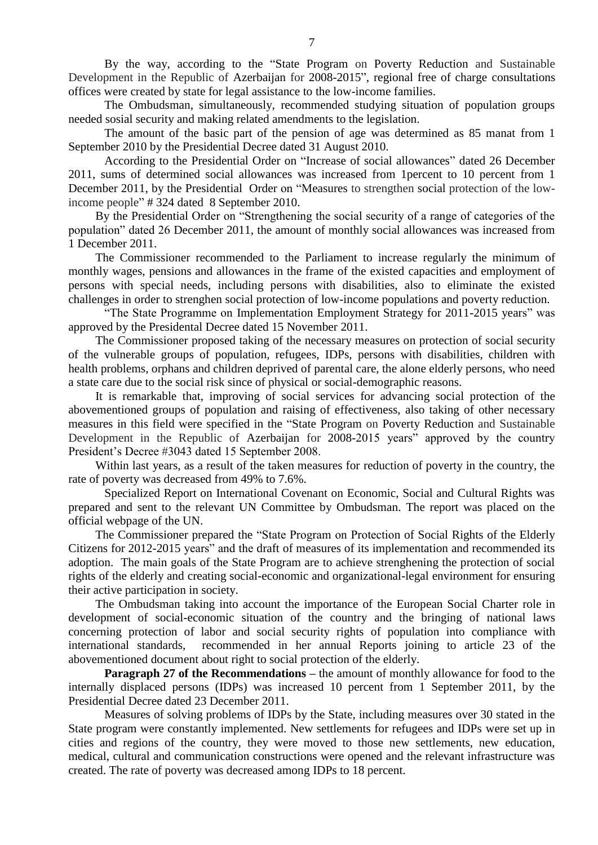By the way, according to the "State Program on Poverty Reduction and Sustainable Development in the Republic of Azerbaijan for 2008-2015", regional free of charge consultations offices were created by state for legal assistance to the low-income families.

The Ombudsman, simultaneously, recommended studying situation of population groups needed sosial security and making related amendments to the legislation.

The amount of the basic part of the pension of age was determined as 85 manat from 1 September 2010 by the Presidential Decree dated 31 August 2010.

According to the Presidential Order on "Increase of social allowances" dated 26 December 2011, sums of determined social allowances was increased from 1percent to 10 percent from 1 December 2011, by the Presidential Order on "Measures to strengthen social protection of the lowincome people" # 324 dated 8 September 2010.

By the Presidential Order on "Strengthening the social security of a range of categories of the population" dated 26 December 2011, the amount of monthly social allowances was increased from 1 December 2011.

The Commissioner recommended to the Parliament to increase regularly the minimum of monthly wages, pensions and allowances in the frame of the existed capacities and employment of persons with special needs, including persons with disabilities, also to eliminate the existed challenges in order to strenghen social protection of low-income populations and poverty reduction.

"The State Programme on Implementation Employment Strategy for 2011-2015 years" was approved by the Presidental Decree dated 15 November 2011.

The Commissioner proposed taking of the necessary measures on protection of social security of the vulnerable groups of population, refugees, IDPs, persons with disabilities, children with health problems, orphans and children deprived of parental care, the alone elderly persons, who need a state care due to the social risk since of physical or social-demographic reasons.

It is remarkable that, improving of social services for advancing social protection of the abovementioned groups of population and raising of effectiveness, also taking of other necessary measures in this field were specified in the "State Program on Poverty Reduction and Sustainable Development in the Republic of Azerbaijan for 2008-2015 years" approved by the country President's Decree #3043 dated 15 September 2008.

Within last years, as a result of the taken measures for reduction of poverty in the country, the rate of poverty was decreased from 49% to 7.6%.

Specialized Report on International Covenant on Economic, Social and Cultural Rights was prepared and sent to the relevant UN Committee by Ombudsman. The report was placed on the official webpage of the UN.

The Commissioner prepared the "State Program on Protection of Social Rights of the Elderly Citizens for 2012-2015 years" and the draft of measures of its implementation and recommended its adoption. The main goals of the State Program are to achieve strenghening the protection of social rights of the elderly and creating social-economic and organizational-legal environment for ensuring their active participation in society.

The Ombudsman taking into account the importance of the European Social Charter role in development of social-economic situation of the country and the bringing of national laws concerning protection of labor and social security rights of population into compliance with international standards, recommended in her annual Reports joining to article 23 of the abovementioned document about right to social protection of the elderly.

**Paragraph 27 of the Recommendations –** the amount of monthly allowance for food to the internally displaced persons (IDPs) was increased 10 percent from 1 September 2011, by the Presidential Decree dated 23 December 2011.

Measures of solving problems of IDPs by the State, including measures over 30 stated in the State program were constantly implemented. New settlements for refugees and IDPs were set up in cities and regions of the country, they were moved to those new settlements, new education, medical, cultural and communication constructions were opened and the relevant infrastructure was created. The rate of poverty was decreased among IDPs to 18 percent.